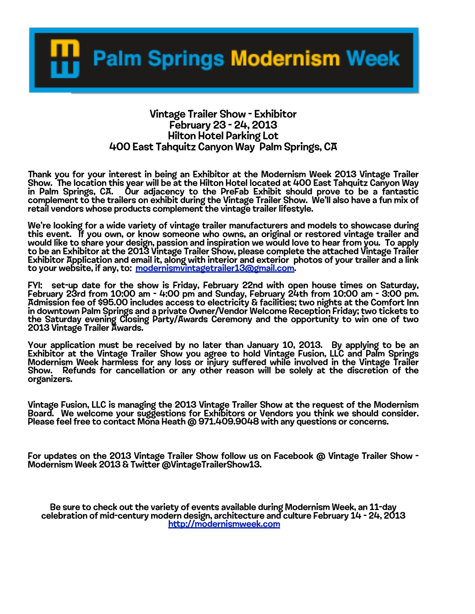**Palm Springs Modernism Week** 

## Vintage Trailer Show - Exhibitor February 23 - 24, 2013 Hilton Hotel Parking Lot 400 East Tahquitz Canyon Way Palm Springs, CA

Thank you for your interest in being an Exhibitor at the Modernism Week 2013 Vintage Trailer<br>Show. The location this year will be at the Hilton Hotel located at 400 East Tahquitz Canyon Way<br>in Palm Springs, CA. Our adjac complement to the trailers on exhibit during the Vintage Trailer Show. We'll also have a fun mix of retail vendors whose products complement the vintage trailer lifestyle.

We're looking for a wide variety of vintage trailer manufacturers and models to showcase during this event. If you own, or know someone who owns, an original or restored vintage trailer and would like to share your design, passion and inspiration we would love to hear from you. To apply to be an Exhibitor at the 2013 Vintage Trailer Show, please complete the attached Vintage Trailer<br>Exhibitor Application and email it, along with interior and exterior photos of your trailer and a link to your website, if any, to: [modernismvintagetrailer13@gmail.com.](mailto:modernismvintagetrailer13@gmail.com)

FYI: set-up date for the show is Friday, February 22nd with open house times on Saturday, February 23rd from 10:00 am - 4:00 pm and Sunday, February 24th from 10:00 am - 3:00 pm. Admission fee of \$95.00 includes access to electricity & facilities; two nights at the Comfort Inn in downtown Palm Springs and a private Owner/Vendor Welcome Reception Friday; two tickets to the Saturday evening Closing Party/Awards Ceremony and the opportunity to win one of two 2013 Vintage Trailer Awards.

Your application must be received by no later than January 10, 2013. By applying to be an Exhibitor at the Vintage Trailer Show you agree to hold Vintage Fusion, LLC and Palm Springs Modernism Week harmless for any loss or injury suffered while involved in the Vintage Trailer<br>Show. Refunds for cancellation or any other reason will be solely at the discretion of the organizers.

Vintage Fusion, LLC is managing the 2013 Vintage Trailer Show at the request of the Modernism Board. We welcome your suggestions for Exhibitors or Vendors you think we should consider.<br>Please feel free to contact Mona Heath @ 971.409.9048 with any questions or concerns.

For updates on the 2013 Vintage Trailer Show follow us on Facebook @ Vintage Trailer Show - Modernism Week 2013 & Twitter @VintageTrailerShow13.

Be sure to check out the variety of events available during Modernism Week, an 11-day<br>celebration of mid-century modern design, architecture and culture February 14 - 24, 2013<br>htt[p://modernismweek.com](http://modernismweek.com)